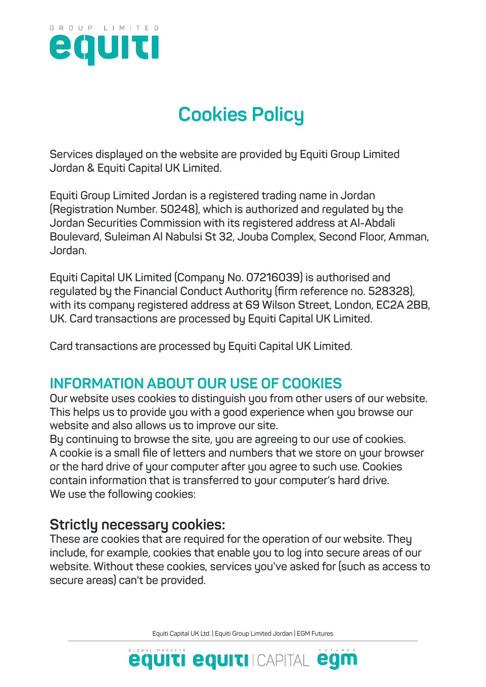

# **Cookies Policy**

**Services displayed on the website are provided by Equiti Group Limited Jordan & Equiti Capital UK Limited.**

**Equiti Group Limited Jordan is a registered trading name in Jordan (Registration Number. 50248), which is authorized and regulated by the Jordan Securities Commission with its registered address at Al-Abdali Boulevard, Suleiman Al Nabulsi St 32, Jouba Complex, Second Floor, Amman, Jordan.**

**Equiti Capital UK Limited (Company No. 07216039) is authorised and regulated by the Financial Conduct Authority (firm reference no. 528328), with its company registered address at 69 Wilson Street, London, EC2A 2BB, UK. Card transactions are processed by Equiti Capital UK Limited.**

**Card transactions are processed by Equiti Capital UK Limited.**

# **INFORMATION ABOUT OUR USE OF COOKIES**

**Our website uses cookies to distinguish you from other users of our website. This helps us to provide you with a good experience when you browse our website and also allows us to improve our site.**

**By continuing to browse the site, you are agreeing to our use of cookies. A cookie is a small file of letters and numbers that we store on your browser or the hard drive of your computer after you agree to such use. Cookies contain information that is transferred to your computer's hard drive. We use the following cookies:**

# **Strictly necessary cookies:**

**These are cookies that are required for the operation of our website. They include, for example, cookies that enable you to log into secure areas of our website. Without these cookies, services you've asked for (such as access to secure areas) can't be provided.** 

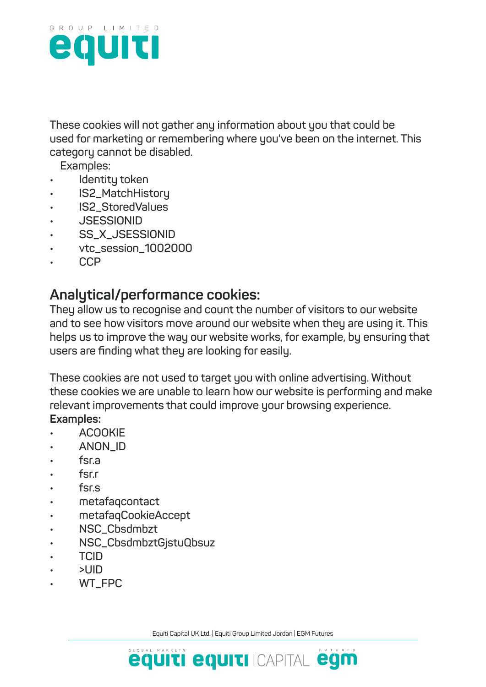

**These cookies will not gather any information about you that could be used for marketing or remembering where you've been on the internet. This category cannot be disabled.**

 **Examples:**

- **• Identity token**
- **• IS2\_MatchHistory**
- **• IS2\_StoredValues**
- **• JSESSIONID**
- **• SS\_X\_JSESSIONID**
- **• vtc\_session\_1002000**
- **• CCP**

### **Analytical/performance cookies:**

**They allow us to recognise and count the number of visitors to our website and to see how visitors move around our website when they are using it. This helps us to improve the way our website works, for example, by ensuring that users are finding what they are looking for easily.**

**These cookies are not used to target you with online advertising. Without these cookies we are unable to learn how our website is performing and make relevant improvements that could improve your browsing experience. Examples:**

- **• ACOOKIE**
- **• ANON\_ID**
- **• fsr.a**
- **• fsr.r**
- **• fsr.s**
- **• metafaqcontact**
- **• metafaqCookieAccept**
- **• NSC\_Cbsdmbzt**
- **• NSC\_CbsdmbztGjstuQbsuz**
- **• TCID**
- **• >UID**
- **• WT\_FPC**

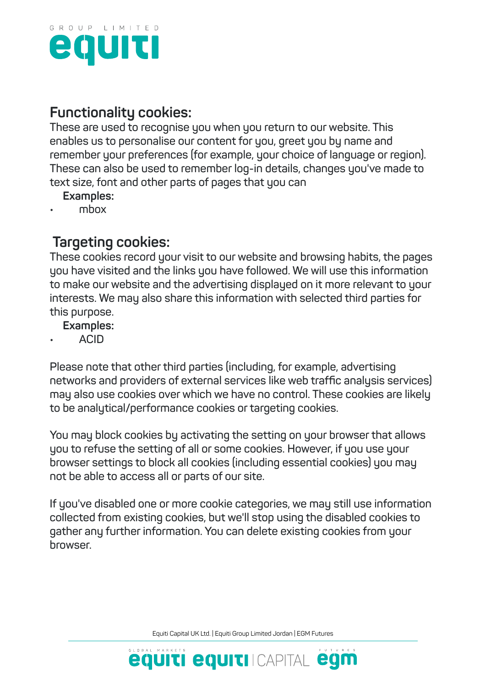

# **Functionality cookies:**

**These are used to recognise you when you return to our website. This enables us to personalise our content for you, greet you by name and remember your preferences (for example, your choice of language or region). These can also be used to remember log-in details, changes you've made to text size, font and other parts of pages that you can**

- **Examples:**
- **• mbox**

#### **Targeting cookies:**

**These cookies record your visit to our website and browsing habits, the pages you have visited and the links you have followed. We will use this information to make our website and the advertising displayed on it more relevant to your interests. We may also share this information with selected third parties for this purpose.**

#### **Examples:**

**• ACID**

**Please note that other third parties (including, for example, advertising networks and providers of external services like web traffic analysis services) may also use cookies over which we have no control. These cookies are likely to be analytical/performance cookies or targeting cookies.**

**You may block cookies by activating the setting on your browser that allows you to refuse the setting of all or some cookies. However, if you use your browser settings to block all cookies (including essential cookies) you may not be able to access all or parts of our site.**

**If you've disabled one or more cookie categories, we may still use information collected from existing cookies, but we'll stop using the disabled cookies to gather any further information. You can delete existing cookies from your browser.**